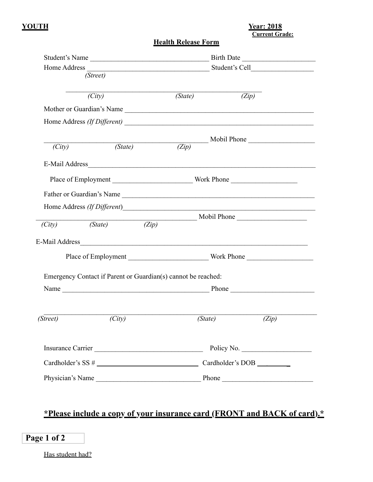### **YOUTH Year: 2018 Current Grade:**

# **Health Release Form**

| Student's Name |                                                               |         | Birth Date                |  |  |  |  |
|----------------|---------------------------------------------------------------|---------|---------------------------|--|--|--|--|
|                | (Street)                                                      |         |                           |  |  |  |  |
|                | $\overline{(City)}$                                           | (State) | (Zip)                     |  |  |  |  |
|                |                                                               |         | Mother or Guardian's Name |  |  |  |  |
|                |                                                               |         |                           |  |  |  |  |
|                |                                                               |         | Mobil Phone               |  |  |  |  |
| (City)         | (State)                                                       | (Zip)   |                           |  |  |  |  |
|                | E-Mail Address                                                |         |                           |  |  |  |  |
|                |                                                               |         |                           |  |  |  |  |
|                |                                                               |         | Father or Guardian's Name |  |  |  |  |
|                |                                                               |         |                           |  |  |  |  |
| (City)         | $(\text{State})$<br>$\overline{(Zip)}$                        |         |                           |  |  |  |  |
|                |                                                               |         | E-Mail Address            |  |  |  |  |
|                | Emergency Contact if Parent or Guardian(s) cannot be reached: |         |                           |  |  |  |  |
|                |                                                               |         |                           |  |  |  |  |
|                |                                                               |         |                           |  |  |  |  |
| (Street)       | (City)                                                        | (State) | (Zip)                     |  |  |  |  |
|                |                                                               |         |                           |  |  |  |  |
|                |                                                               |         |                           |  |  |  |  |
|                |                                                               |         |                           |  |  |  |  |
|                |                                                               |         |                           |  |  |  |  |

|--|--|

Has student had?